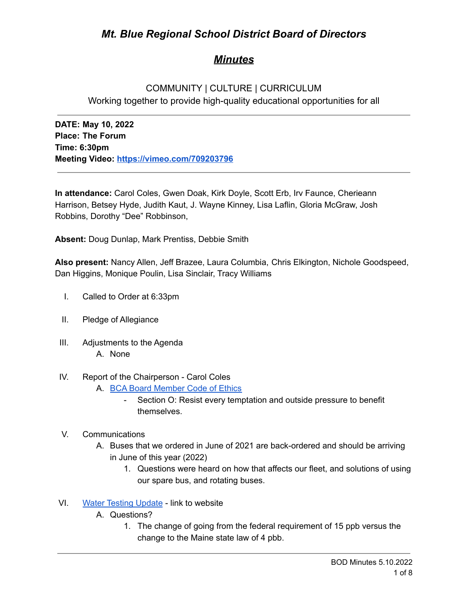# *Mt. Blue Regional School District Board of Directors*

# *Minutes*

# COMMUNITY | CULTURE | CURRICULUM Working together to provide high-quality educational opportunities for all

**DATE: May 10, 2022 Place: The Forum Time: 6:30pm Meeting Video: <https://vimeo.com/709203796>**

**In attendance:** Carol Coles, Gwen Doak, Kirk Doyle, Scott Erb, Irv Faunce, Cherieann Harrison, Betsey Hyde, Judith Kaut, J. Wayne Kinney, Lisa Laflin, Gloria McGraw, Josh Robbins, Dorothy "Dee" Robbinson,

**Absent:** Doug Dunlap, Mark Prentiss, Debbie Smith

**Also present:** Nancy Allen, Jeff Brazee, Laura Columbia, Chris Elkington, Nichole Goodspeed, Dan Higgins, Monique Poulin, Lisa Sinclair, Tracy Williams

- I. Called to Order at 6:33pm
- II. Pledge of Allegiance
- III. Adjustments to the Agenda A. None
- IV. Report of the Chairperson Carol Coles
	- A. BCA Board [Member](https://cdn.branchcms.com/yeQ4XpK43n-1155/docs/district/board-of-directors/policy-manual/section-b/BCA-Board-Member-Code-of-Ethics.pdf) Code of Ethics
		- Section O: Resist every temptation and outside pressure to benefit themselves.
- V. Communications
	- A. Buses that we ordered in June of 2021 are back-ordered and should be arriving in June of this year (2022)
		- 1. Questions were heard on how that affects our fleet, and solutions of using our spare bus, and rotating buses.
- VI. Water Testing [Update](https://www.mtbluersd.org/school-lead-sampling) link to website
	- A. Questions?
		- 1. The change of going from the federal requirement of 15 ppb versus the change to the Maine state law of 4 pbb.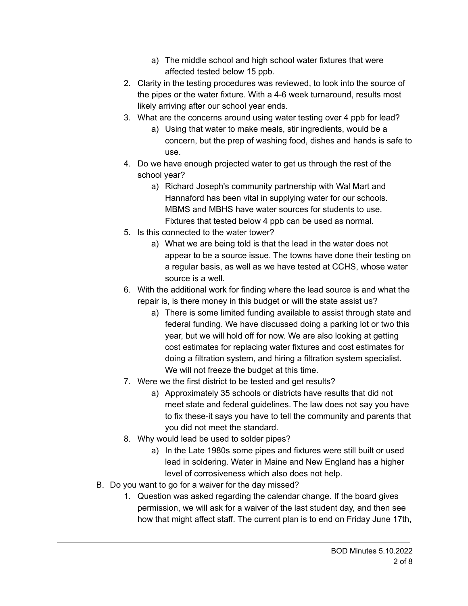- a) The middle school and high school water fixtures that were affected tested below 15 ppb.
- 2. Clarity in the testing procedures was reviewed, to look into the source of the pipes or the water fixture. With a 4-6 week turnaround, results most likely arriving after our school year ends.
- 3. What are the concerns around using water testing over 4 ppb for lead?
	- a) Using that water to make meals, stir ingredients, would be a concern, but the prep of washing food, dishes and hands is safe to use.
- 4. Do we have enough projected water to get us through the rest of the school year?
	- a) Richard Joseph's community partnership with Wal Mart and Hannaford has been vital in supplying water for our schools. MBMS and MBHS have water sources for students to use. Fixtures that tested below 4 ppb can be used as normal.
- 5. Is this connected to the water tower?
	- a) What we are being told is that the lead in the water does not appear to be a source issue. The towns have done their testing on a regular basis, as well as we have tested at CCHS, whose water source is a well.
- 6. With the additional work for finding where the lead source is and what the repair is, is there money in this budget or will the state assist us?
	- a) There is some limited funding available to assist through state and federal funding. We have discussed doing a parking lot or two this year, but we will hold off for now. We are also looking at getting cost estimates for replacing water fixtures and cost estimates for doing a filtration system, and hiring a filtration system specialist. We will not freeze the budget at this time.
- 7. Were we the first district to be tested and get results?
	- a) Approximately 35 schools or districts have results that did not meet state and federal guidelines. The law does not say you have to fix these-it says you have to tell the community and parents that you did not meet the standard.
- 8. Why would lead be used to solder pipes?
	- a) In the Late 1980s some pipes and fixtures were still built or used lead in soldering. Water in Maine and New England has a higher level of corrosiveness which also does not help.
- B. Do you want to go for a waiver for the day missed?
	- 1. Question was asked regarding the calendar change. If the board gives permission, we will ask for a waiver of the last student day, and then see how that might affect staff. The current plan is to end on Friday June 17th,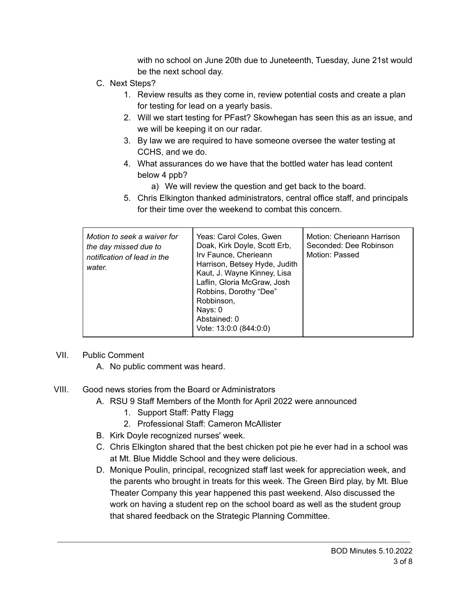with no school on June 20th due to Juneteenth, Tuesday, June 21st would be the next school day.

- C. Next Steps?
	- 1. Review results as they come in, review potential costs and create a plan for testing for lead on a yearly basis.
	- 2. Will we start testing for PFast? Skowhegan has seen this as an issue, and we will be keeping it on our radar.
	- 3. By law we are required to have someone oversee the water testing at CCHS, and we do.
	- 4. What assurances do we have that the bottled water has lead content below 4 ppb?
		- a) We will review the question and get back to the board.
	- 5. Chris Elkington thanked administrators, central office staff, and principals for their time over the weekend to combat this concern.

| Motion to seek a waiver for<br>the day missed due to<br>notification of lead in the<br>water. | Yeas: Carol Coles, Gwen<br>Doak, Kirk Doyle, Scott Erb,<br>Irv Faunce, Cherieann<br>Harrison, Betsey Hyde, Judith<br>Kaut, J. Wayne Kinney, Lisa<br>Laflin, Gloria McGraw, Josh<br>Robbins, Dorothy "Dee"<br>Robbinson,<br>Nays: 0<br>Abstained: 0<br>Vote: 13:0:0 (844:0:0) | Motion: Cherieann Harrison<br>Seconded: Dee Robinson<br>Motion: Passed |
|-----------------------------------------------------------------------------------------------|------------------------------------------------------------------------------------------------------------------------------------------------------------------------------------------------------------------------------------------------------------------------------|------------------------------------------------------------------------|
|-----------------------------------------------------------------------------------------------|------------------------------------------------------------------------------------------------------------------------------------------------------------------------------------------------------------------------------------------------------------------------------|------------------------------------------------------------------------|

## VII. Public Comment

- A. No public comment was heard.
- VIII. Good news stories from the Board or Administrators
	- A. RSU 9 Staff Members of the Month for April 2022 were announced
		- 1. Support Staff: Patty Flagg
		- 2. Professional Staff: Cameron McAllister
	- B. Kirk Doyle recognized nurses' week.
	- C. Chris Elkington shared that the best chicken pot pie he ever had in a school was at Mt. Blue Middle School and they were delicious.
	- D. Monique Poulin, principal, recognized staff last week for appreciation week, and the parents who brought in treats for this week. The Green Bird play, by Mt. Blue Theater Company this year happened this past weekend. Also discussed the work on having a student rep on the school board as well as the student group that shared feedback on the Strategic Planning Committee.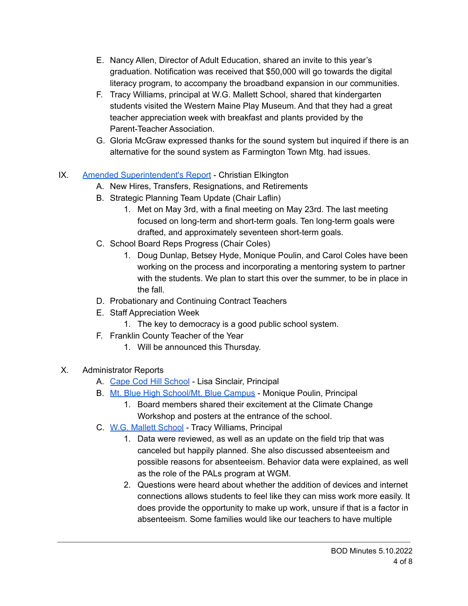- E. Nancy Allen, Director of Adult Education, shared an invite to this year's graduation. Notification was received that \$50,000 will go towards the digital literacy program, to accompany the broadband expansion in our communities.
- F. Tracy Williams, principal at W.G. Mallett School, shared that kindergarten students visited the Western Maine Play Museum. And that they had a great teacher appreciation week with breakfast and plants provided by the Parent-Teacher Association.
- G. Gloria McGraw expressed thanks for the sound system but inquired if there is an alternative for the sound system as Farmington Town Mtg. had issues.

## IX. Amended [Superintendent's](https://drive.google.com/file/d/19VwXPFCDcOV2H6Gj3i-xc3g5q9CA5RCA/view?usp=sharing) Report - Christian Elkington

- A. New Hires, Transfers, Resignations, and Retirements
- B. Strategic Planning Team Update (Chair Laflin)
	- 1. Met on May 3rd, with a final meeting on May 23rd. The last meeting focused on long-term and short-term goals. Ten long-term goals were drafted, and approximately seventeen short-term goals.
- C. School Board Reps Progress (Chair Coles)
	- 1. Doug Dunlap, Betsey Hyde, Monique Poulin, and Carol Coles have been working on the process and incorporating a mentoring system to partner with the students. We plan to start this over the summer, to be in place in the fall.
- D. Probationary and Continuing Contract Teachers
- E. Staff Appreciation Week
	- 1. The key to democracy is a good public school system.
- F. Franklin County Teacher of the Year
	- 1. Will be announced this Thursday.
- X. Administrator Reports
	- A. Cape Cod Hill [School](https://drive.google.com/file/d/1WmrmhSAYrwRbB7mQGrVZVSwz8toobtQH/view?usp=sharing) Lisa Sinclair, Principal
	- B. Mt. Blue High [School/Mt.](https://drive.google.com/file/d/10iqypC0YclemR0nOyhJI7Z4WNOh3NNY7/view?usp=sharing) Blue Campus Monique Poulin, Principal
		- 1. Board members shared their excitement at the Climate Change Workshop and posters at the entrance of the school.
	- C. W.G. Mallett [School](https://drive.google.com/file/d/1Vk5Sb3qjZYVqJh49cXj03WhIFFRaLmV4/view?usp=sharing) Tracy Williams, Principal
		- 1. Data were reviewed, as well as an update on the field trip that was canceled but happily planned. She also discussed absenteeism and possible reasons for absenteeism. Behavior data were explained, as well as the role of the PALs program at WGM.
		- 2. Questions were heard about whether the addition of devices and internet connections allows students to feel like they can miss work more easily. It does provide the opportunity to make up work, unsure if that is a factor in absenteeism. Some families would like our teachers to have multiple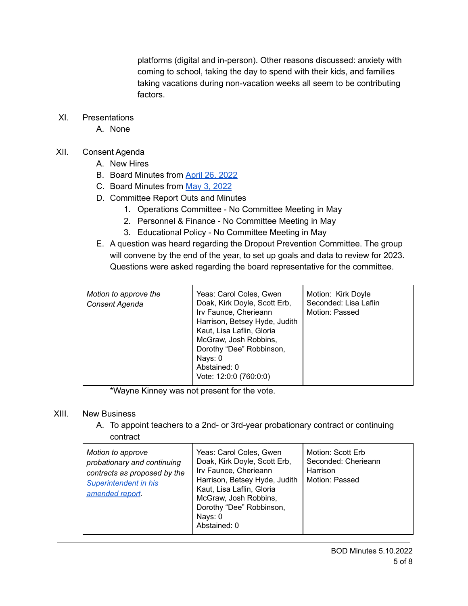platforms (digital and in-person). Other reasons discussed: anxiety with coming to school, taking the day to spend with their kids, and families taking vacations during non-vacation weeks all seem to be contributing factors.

- XI. Presentations
	- A. None
- XII. Consent Agenda
	- A. New Hires
	- B. Board Minutes from April 26, [2022](https://drive.google.com/file/d/1LDT5EtS3Bve2uwkxKbtsmjYA4sbRuIRq/view?usp=sharing)
	- C. Board Minutes from May 3, [2022](https://drive.google.com/file/d/11Lq7Ns-u5o_sPNoPMfoSBOj-3J1F0h_q/view?usp=sharing)
	- D. Committee Report Outs and Minutes
		- 1. Operations Committee No Committee Meeting in May
		- 2. Personnel & Finance No Committee Meeting in May
		- 3. Educational Policy No Committee Meeting in May
	- E. A question was heard regarding the Dropout Prevention Committee. The group will convene by the end of the year, to set up goals and data to review for 2023. Questions were asked regarding the board representative for the committee.

| Motion to approve the<br>Consent Agenda | Yeas: Carol Coles, Gwen<br>Doak, Kirk Doyle, Scott Erb,<br>Irv Faunce, Cherieann<br>Harrison, Betsey Hyde, Judith<br>Kaut, Lisa Laflin, Gloria<br>McGraw, Josh Robbins,<br>Dorothy "Dee" Robbinson,<br>Nays: 0<br>Abstained: 0 | Motion: Kirk Doyle<br>Seconded: Lisa Laflin<br>Motion: Passed |
|-----------------------------------------|--------------------------------------------------------------------------------------------------------------------------------------------------------------------------------------------------------------------------------|---------------------------------------------------------------|
|                                         | Vote: 12:0:0 (760:0:0)                                                                                                                                                                                                         |                                                               |

\*Wayne Kinney was not present for the vote.

## XIII. New Business

A. To appoint teachers to a 2nd- or 3rd-year probationary contract or continuing contract

| Motion to approve<br>probationary and continuing<br>contracts as proposed by the<br>Superintendent in his<br>amended report. | Yeas: Carol Coles, Gwen<br>Doak, Kirk Doyle, Scott Erb,<br>Irv Faunce, Cherieann<br>Harrison, Betsey Hyde, Judith<br>Kaut, Lisa Laflin, Gloria<br>McGraw, Josh Robbins,<br>Dorothy "Dee" Robbinson,<br>Nays: 0<br>Abstained: 0 | Motion: Scott Erb<br>Seconded: Cherieann<br>Harrison<br>Motion: Passed |
|------------------------------------------------------------------------------------------------------------------------------|--------------------------------------------------------------------------------------------------------------------------------------------------------------------------------------------------------------------------------|------------------------------------------------------------------------|
|------------------------------------------------------------------------------------------------------------------------------|--------------------------------------------------------------------------------------------------------------------------------------------------------------------------------------------------------------------------------|------------------------------------------------------------------------|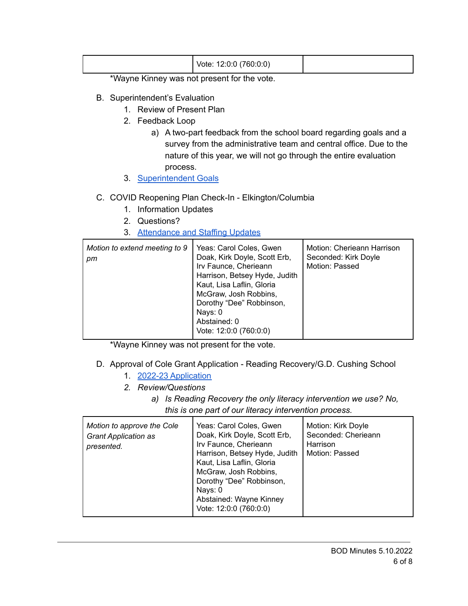| Vote: 12:0:0 (760:0:0) |
|------------------------|
|------------------------|

\*Wayne Kinney was not present for the vote.

- B. Superintendent's Evaluation
	- 1. Review of Present Plan
	- 2. Feedback Loop
		- a) A two-part feedback from the school board regarding goals and a survey from the administrative team and central office. Due to the nature of this year, we will not go through the entire evaluation process.
	- 3. [Superintendent](https://drive.google.com/file/d/1pv772T8BbylrsYdPzoCTRu-JQAGYBIlx/view?usp=sharing) Goals
- C. COVID Reopening Plan Check-In Elkington/Columbia
	- 1. Information Updates
	- 2. Questions?
	- 3. [Attendance](https://drive.google.com/file/d/1yx_e-5DbZJ7ujLHLBnmpkNpUN5paFkJW/view?usp=sharing) and Staffing Updates

| Motion to extend meeting to 9<br>pm | Yeas: Carol Coles, Gwen<br>Doak, Kirk Doyle, Scott Erb,<br>Irv Faunce, Cherieann<br>Harrison, Betsey Hyde, Judith<br>Kaut, Lisa Laflin, Gloria<br>McGraw, Josh Robbins,<br>Dorothy "Dee" Robbinson,<br>Nays: 0<br>Abstained: 0<br>Vote: 12:0:0 (760:0:0) | Motion: Cherieann Harrison<br>Seconded: Kirk Doyle<br>Motion: Passed |
|-------------------------------------|----------------------------------------------------------------------------------------------------------------------------------------------------------------------------------------------------------------------------------------------------------|----------------------------------------------------------------------|
|-------------------------------------|----------------------------------------------------------------------------------------------------------------------------------------------------------------------------------------------------------------------------------------------------------|----------------------------------------------------------------------|

\*Wayne Kinney was not present for the vote.

- D. Approval of Cole Grant Application Reading Recovery/G.D. Cushing School
	- 1. 2022-23 [Application](https://drive.google.com/file/d/18DNQJJGh2eGTOxwWLkryNd4FXPlY7rAG/view?usp=sharingXZ5L/edit?usp=sharing&ouid=105714587770337752921&rtpof=true&sd=true)
	- *2. Review/Questions*
		- *a) Is Reading Recovery the only literacy intervention we use? No, this is one part of our literacy intervention process.*

| Motion to approve the Cole<br><b>Grant Application as</b><br>presented. | Yeas: Carol Coles, Gwen<br>Doak, Kirk Doyle, Scott Erb,<br>Irv Faunce, Cherieann<br>Harrison, Betsey Hyde, Judith<br>Kaut, Lisa Laflin, Gloria<br>McGraw, Josh Robbins,<br>Dorothy "Dee" Robbinson,<br>Nays: 0<br>Abstained: Wayne Kinney<br>Vote: 12:0:0 (760:0:0) | Motion: Kirk Doyle<br>Seconded: Cherieann<br>Harrison<br>Motion: Passed |
|-------------------------------------------------------------------------|---------------------------------------------------------------------------------------------------------------------------------------------------------------------------------------------------------------------------------------------------------------------|-------------------------------------------------------------------------|
|-------------------------------------------------------------------------|---------------------------------------------------------------------------------------------------------------------------------------------------------------------------------------------------------------------------------------------------------------------|-------------------------------------------------------------------------|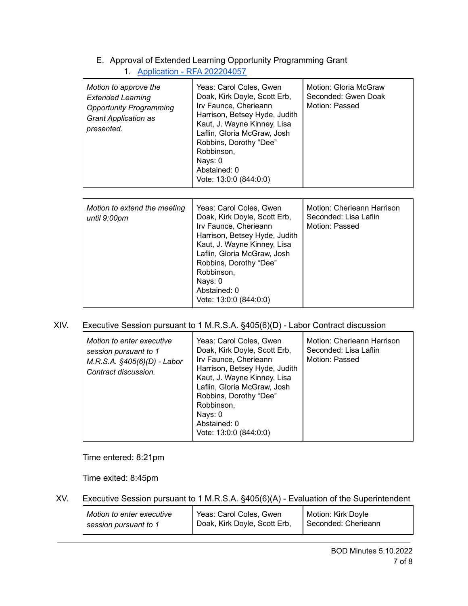## E. Approval of Extended Learning Opportunity Programming Grant 1. Application - RFA [202204057](https://drive.google.com/file/d/1G1M11qZxqsthIld0gIUIqslT9cRdVqlP/view?usp=sharing)

| Motion to approve the<br><b>Extended Learning</b><br><b>Opportunity Programming</b><br><b>Grant Application as</b><br>presented. | Yeas: Carol Coles, Gwen<br>Doak, Kirk Doyle, Scott Erb,<br>Irv Faunce, Cherieann<br>Harrison, Betsey Hyde, Judith<br>Kaut, J. Wayne Kinney, Lisa<br>Laflin, Gloria McGraw, Josh<br>Robbins, Dorothy "Dee"<br>Robbinson,<br>Nays: 0<br>Abstained: 0<br>Vote: 13:0:0 (844:0:0) | Motion: Gloria McGraw<br>Seconded: Gwen Doak<br>Motion: Passed        |
|----------------------------------------------------------------------------------------------------------------------------------|------------------------------------------------------------------------------------------------------------------------------------------------------------------------------------------------------------------------------------------------------------------------------|-----------------------------------------------------------------------|
| Motion to extend the meeting<br>until 9:00pm                                                                                     | Yeas: Carol Coles, Gwen<br>Doak, Kirk Doyle, Scott Erb,<br>Irv Faunce, Cherieann<br>Harrison, Betsey Hyde, Judith<br>Kaut, J. Wayne Kinney, Lisa<br>Laflin, Gloria McGraw, Josh<br>Robbins, Dorothy "Dee"<br>Robbinson,<br>Nays: 0<br>Abstained: 0<br>Vote: 13:0:0 (844:0:0) | Motion: Cherieann Harrison<br>Seconded: Lisa Laflin<br>Motion: Passed |

## XIV. Executive Session pursuant to 1 M.R.S.A. §405(6)(D) - Labor Contract discussion

| Motion to enter executive<br>session pursuant to 1<br>$M.R.S.A.$ $§405(6)(D) - Labor$<br>Contract discussion. | Yeas: Carol Coles, Gwen<br>Doak, Kirk Doyle, Scott Erb,<br>Irv Faunce, Cherieann<br>Harrison, Betsey Hyde, Judith<br>Kaut, J. Wayne Kinney, Lisa<br>Laflin, Gloria McGraw, Josh<br>Robbins, Dorothy "Dee"<br>Robbinson,<br>Nays: 0<br>Abstained: 0<br>Vote: 13:0:0 (844:0:0) | Motion: Cherieann Harrison<br>Seconded: Lisa Laflin<br>Motion: Passed |
|---------------------------------------------------------------------------------------------------------------|------------------------------------------------------------------------------------------------------------------------------------------------------------------------------------------------------------------------------------------------------------------------------|-----------------------------------------------------------------------|
|---------------------------------------------------------------------------------------------------------------|------------------------------------------------------------------------------------------------------------------------------------------------------------------------------------------------------------------------------------------------------------------------------|-----------------------------------------------------------------------|

Time entered: 8:21pm

Time exited: 8:45pm

XV. Executive Session pursuant to 1 M.R.S.A. §405(6)(A) - Evaluation of the Superintendent

| Motion to enter executive | Yeas: Carol Coles, Gwen                   | Motion: Kirk Doyle    |
|---------------------------|-------------------------------------------|-----------------------|
| session pursuant to 1     | <sup>1</sup> Doak, Kirk Doyle, Scott Erb, | l Seconded: Cherieann |